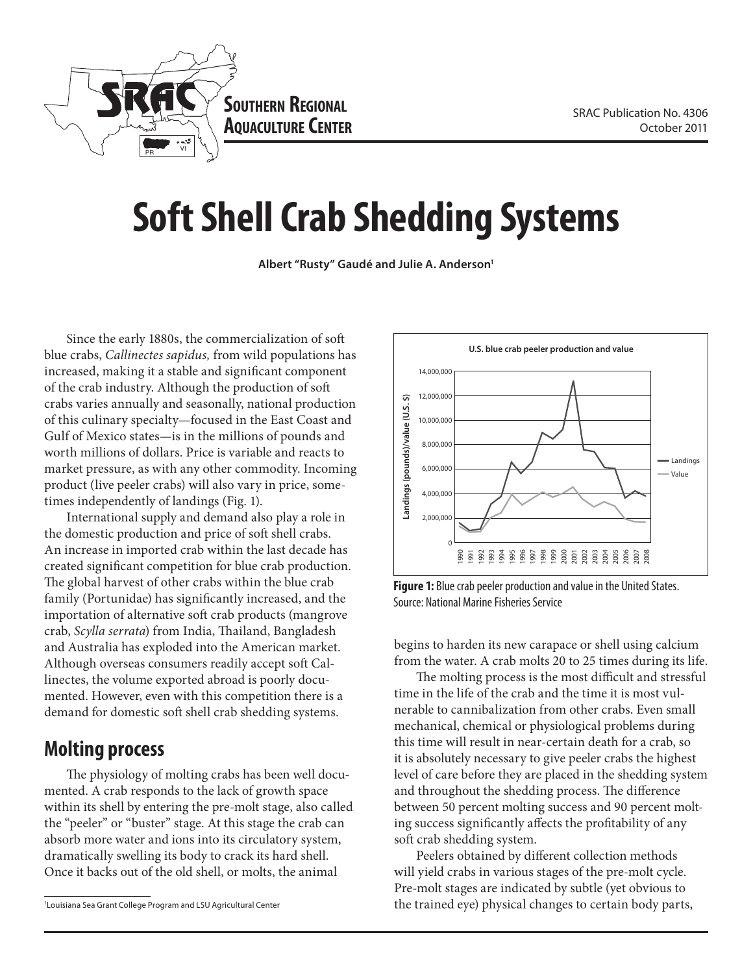

# **Soft Shell Crab Shedding Systems**

**Albert "Rusty" Gaudé and Julie A. Anderson1**

Since the early 1880s, the commercialization of soft blue crabs, *Callinectes sapidus,* from wild populations has increased, making it a stable and significant component of the crab industry. Although the production of soft crabs varies annually and seasonally, national production of this culinary specialty—focused in the East Coast and Gulf of Mexico states—is in the millions of pounds and worth millions of dollars. Price is variable and reacts to market pressure, as with any other commodity. Incoming product (live peeler crabs) will also vary in price, sometimes independently of landings (Fig. 1).

International supply and demand also play a role in the domestic production and price of soft shell crabs. An increase in imported crab within the last decade has created significant competition for blue crab production. The global harvest of other crabs within the blue crab family (Portunidae) has significantly increased, and the importation of alternative soft crab products (mangrove crab, *Scylla serrata*) from India, Thailand, Bangladesh and Australia has exploded into the American market. Although overseas consumers readily accept soft Callinectes, the volume exported abroad is poorly documented. However, even with this competition there is a demand for domestic soft shell crab shedding systems.

# **Molting process**

The physiology of molting crabs has been well documented. A crab responds to the lack of growth space within its shell by entering the pre-molt stage, also called the "peeler" or "buster" stage. At this stage the crab can absorb more water and ions into its circulatory system, dramatically swelling its body to crack its hard shell. Once it backs out of the old shell, or molts, the animal



**Figure 1:** Blue crab peeler production and value in the United States. Source: National Marine Fisheries Service

begins to harden its new carapace or shell using calcium from the water. A crab molts 20 to 25 times during its life.

The molting process is the most difficult and stressful time in the life of the crab and the time it is most vulnerable to cannibalization from other crabs. Even small mechanical, chemical or physiological problems during this time will result in near-certain death for a crab, so it is absolutely necessary to give peeler crabs the highest level of care before they are placed in the shedding system and throughout the shedding process. The difference between 50 percent molting success and 90 percent molting success significantly affects the profitability of any soft crab shedding system.

Peelers obtained by different collection methods will yield crabs in various stages of the pre-molt cycle. Pre-molt stages are indicated by subtle (yet obvious to the trained eye) physical changes to certain body parts,

<sup>1</sup> Louisiana Sea Grant College Program and LSU Agricultural Center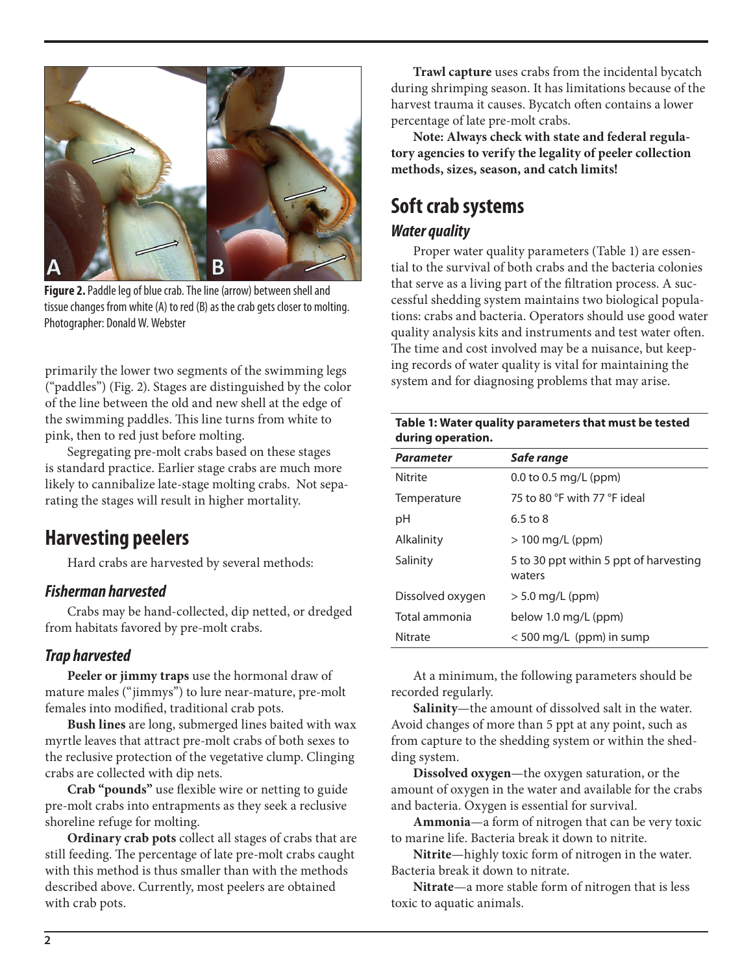

**Figure 2.** Paddle leg of blue crab. The line (arrow) between shell and tissue changes from white (A) to red (B) as the crab gets closer to molting. Photographer: Donald W. Webster

primarily the lower two segments of the swimming legs ("paddles") (Fig. 2). Stages are distinguished by the color of the line between the old and new shell at the edge of the swimming paddles. This line turns from white to pink, then to red just before molting.

Segregating pre-molt crabs based on these stages is standard practice. Earlier stage crabs are much more likely to cannibalize late-stage molting crabs. Not separating the stages will result in higher mortality.

# **Harvesting peelers**

Hard crabs are harvested by several methods:

#### *Fisherman harvested*

Crabs may be hand-collected, dip netted, or dredged from habitats favored by pre-molt crabs.

#### *Trap harvested*

**Peeler or jimmy traps** use the hormonal draw of mature males ("jimmys") to lure near-mature, pre-molt females into modified, traditional crab pots.

**Bush lines** are long, submerged lines baited with wax myrtle leaves that attract pre-molt crabs of both sexes to the reclusive protection of the vegetative clump. Clinging crabs are collected with dip nets.

**Crab "pounds"** use flexible wire or netting to guide pre-molt crabs into entrapments as they seek a reclusive shoreline refuge for molting.

**Ordinary crab pots** collect all stages of crabs that are still feeding. The percentage of late pre-molt crabs caught with this method is thus smaller than with the methods described above. Currently, most peelers are obtained with crab pots.

**Trawl capture** uses crabs from the incidental bycatch during shrimping season. It has limitations because of the harvest trauma it causes. Bycatch often contains a lower percentage of late pre-molt crabs.

**Note: Always check with state and federal regulatory agencies to verify the legality of peeler collection methods, sizes, season, and catch limits!**

# **Soft crab systems**

#### *Water quality*

Proper water quality parameters (Table 1) are essential to the survival of both crabs and the bacteria colonies that serve as a living part of the filtration process. A successful shedding system maintains two biological populations: crabs and bacteria. Operators should use good water quality analysis kits and instruments and test water often. The time and cost involved may be a nuisance, but keeping records of water quality is vital for maintaining the system and for diagnosing problems that may arise.

|                   | Table 1: Water quality parameters that must be tested |
|-------------------|-------------------------------------------------------|
| during operation. |                                                       |

| <b>Parameter</b> | Safe range                                       |
|------------------|--------------------------------------------------|
| <b>Nitrite</b>   | 0.0 to 0.5 mg/L (ppm)                            |
| Temperature      | 75 to 80 °F with 77 °F ideal                     |
| рH               | 6.5 to 8                                         |
| Alkalinity       | $>100 \,\mathrm{mg/L}$ (ppm)                     |
| Salinity         | 5 to 30 ppt within 5 ppt of harvesting<br>waters |
| Dissolved oxygen | $> 5.0$ mg/L (ppm)                               |
| Total ammonia    | below 1.0 mg/L (ppm)                             |
| Nitrate          | $<$ 500 mg/L (ppm) in sump                       |

At a minimum, the following parameters should be recorded regularly.

**Salinity**—the amount of dissolved salt in the water. Avoid changes of more than 5 ppt at any point, such as from capture to the shedding system or within the shedding system.

**Dissolved oxygen**—the oxygen saturation, or the amount of oxygen in the water and available for the crabs and bacteria. Oxygen is essential for survival.

**Ammonia**—a form of nitrogen that can be very toxic to marine life. Bacteria break it down to nitrite.

**Nitrite**—highly toxic form of nitrogen in the water. Bacteria break it down to nitrate.

**Nitrate**—a more stable form of nitrogen that is less toxic to aquatic animals.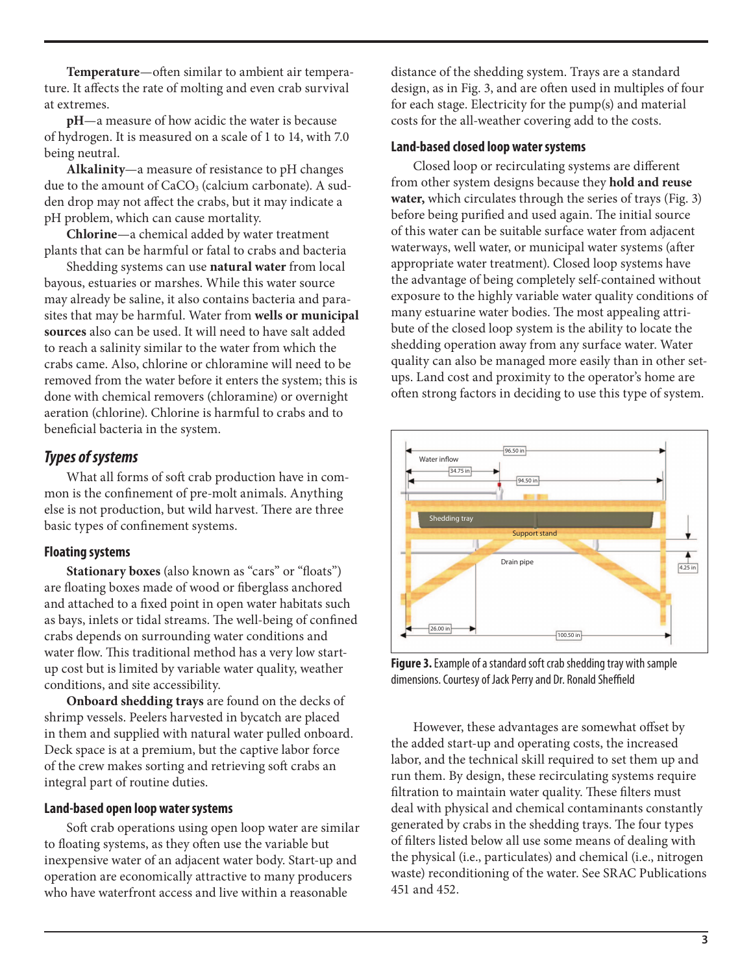**Temperature**—often similar to ambient air temperature. It affects the rate of molting and even crab survival at extremes.

**pH**—a measure of how acidic the water is because of hydrogen. It is measured on a scale of 1 to 14, with 7.0 being neutral.

**Alkalinity**—a measure of resistance to pH changes due to the amount of  $CaCO<sub>3</sub>$  (calcium carbonate). A sudden drop may not affect the crabs, but it may indicate a pH problem, which can cause mortality.

**Chlorine**—a chemical added by water treatment plants that can be harmful or fatal to crabs and bacteria

Shedding systems can use **natural water** from local bayous, estuaries or marshes. While this water source may already be saline, it also contains bacteria and parasites that may be harmful. Water from **wells or municipal sources** also can be used. It will need to have salt added to reach a salinity similar to the water from which the crabs came. Also, chlorine or chloramine will need to be removed from the water before it enters the system; this is done with chemical removers (chloramine) or overnight aeration (chlorine). Chlorine is harmful to crabs and to beneficial bacteria in the system.

#### *Types of systems*

What all forms of soft crab production have in common is the confinement of pre-molt animals. Anything else is not production, but wild harvest. There are three basic types of confinement systems.

#### **Floating systems**

**Stationary boxes** (also known as "cars" or "floats") are floating boxes made of wood or fiberglass anchored and attached to a fixed point in open water habitats such as bays, inlets or tidal streams. The well-being of confined crabs depends on surrounding water conditions and water flow. This traditional method has a very low startup cost but is limited by variable water quality, weather conditions, and site accessibility.

**Onboard shedding trays** are found on the decks of shrimp vessels. Peelers harvested in bycatch are placed in them and supplied with natural water pulled onboard. Deck space is at a premium, but the captive labor force of the crew makes sorting and retrieving soft crabs an integral part of routine duties.

#### **Land-based open loop water systems**

Soft crab operations using open loop water are similar to floating systems, as they often use the variable but inexpensive water of an adjacent water body. Start-up and operation are economically attractive to many producers who have waterfront access and live within a reasonable

distance of the shedding system. Trays are a standard design, as in Fig. 3, and are often used in multiples of four for each stage. Electricity for the pump(s) and material costs for the all-weather covering add to the costs.

#### **Land-based closed loop water systems**

Closed loop or recirculating systems are different from other system designs because they **hold and reuse water,** which circulates through the series of trays (Fig. 3) before being purified and used again. The initial source of this water can be suitable surface water from adjacent waterways, well water, or municipal water systems (after appropriate water treatment). Closed loop systems have the advantage of being completely self-contained without exposure to the highly variable water quality conditions of many estuarine water bodies. The most appealing attribute of the closed loop system is the ability to locate the shedding operation away from any surface water. Water quality can also be managed more easily than in other setups. Land cost and proximity to the operator's home are often strong factors in deciding to use this type of system.



**Figure 3.** Example of a standard soft crab shedding tray with sample dimensions. Courtesy of Jack Perry and Dr. Ronald Sheffield

However, these advantages are somewhat offset by the added start-up and operating costs, the increased labor, and the technical skill required to set them up and run them. By design, these recirculating systems require filtration to maintain water quality. These filters must deal with physical and chemical contaminants constantly generated by crabs in the shedding trays. The four types of filters listed below all use some means of dealing with the physical (i.e., particulates) and chemical (i.e., nitrogen waste) reconditioning of the water. See SRAC Publications 451 and 452.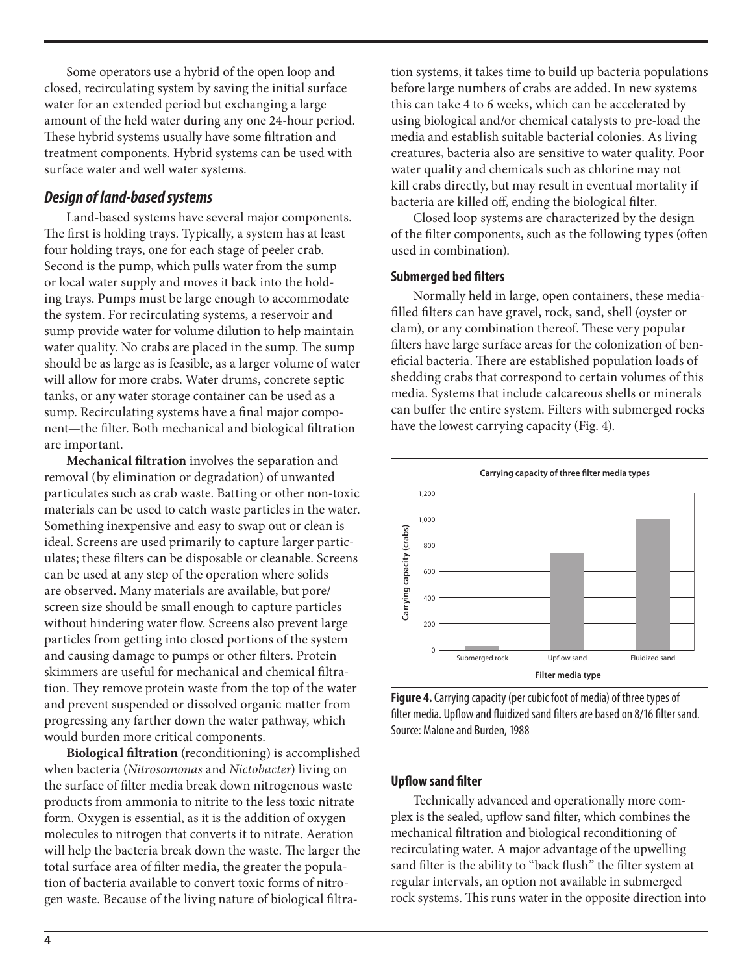Some operators use a hybrid of the open loop and closed, recirculating system by saving the initial surface water for an extended period but exchanging a large amount of the held water during any one 24-hour period. These hybrid systems usually have some filtration and treatment components. Hybrid systems can be used with surface water and well water systems.

#### *Design of land-based systems*

Land-based systems have several major components. The first is holding trays. Typically, a system has at least four holding trays, one for each stage of peeler crab. Second is the pump, which pulls water from the sump or local water supply and moves it back into the holding trays. Pumps must be large enough to accommodate the system. For recirculating systems, a reservoir and sump provide water for volume dilution to help maintain water quality. No crabs are placed in the sump. The sump should be as large as is feasible, as a larger volume of water will allow for more crabs. Water drums, concrete septic tanks, or any water storage container can be used as a sump. Recirculating systems have a final major component—the filter. Both mechanical and biological filtration are important.

**Mechanical filtration** involves the separation and removal (by elimination or degradation) of unwanted particulates such as crab waste. Batting or other non-toxic materials can be used to catch waste particles in the water. Something inexpensive and easy to swap out or clean is ideal. Screens are used primarily to capture larger particulates; these filters can be disposable or cleanable. Screens can be used at any step of the operation where solids are observed. Many materials are available, but pore/ screen size should be small enough to capture particles without hindering water flow. Screens also prevent large particles from getting into closed portions of the system and causing damage to pumps or other filters. Protein skimmers are useful for mechanical and chemical filtration. They remove protein waste from the top of the water and prevent suspended or dissolved organic matter from progressing any farther down the water pathway, which would burden more critical components.

**Biological filtration** (reconditioning) is accomplished when bacteria (*Nitrosomonas* and *Nictobacter*) living on the surface of filter media break down nitrogenous waste products from ammonia to nitrite to the less toxic nitrate form. Oxygen is essential, as it is the addition of oxygen molecules to nitrogen that converts it to nitrate. Aeration will help the bacteria break down the waste. The larger the total surface area of filter media, the greater the population of bacteria available to convert toxic forms of nitrogen waste. Because of the living nature of biological filtration systems, it takes time to build up bacteria populations before large numbers of crabs are added. In new systems this can take 4 to 6 weeks, which can be accelerated by using biological and/or chemical catalysts to pre-load the media and establish suitable bacterial colonies. As living creatures, bacteria also are sensitive to water quality. Poor water quality and chemicals such as chlorine may not kill crabs directly, but may result in eventual mortality if bacteria are killed off, ending the biological filter.

Closed loop systems are characterized by the design of the filter components, such as the following types (often used in combination).

#### **Submerged bed filters**

Normally held in large, open containers, these mediafilled filters can have gravel, rock, sand, shell (oyster or clam), or any combination thereof. These very popular filters have large surface areas for the colonization of beneficial bacteria. There are established population loads of shedding crabs that correspond to certain volumes of this media. Systems that include calcareous shells or minerals can buffer the entire system. Filters with submerged rocks have the lowest carrying capacity (Fig. 4).



**Figure 4.** Carrying capacity (per cubic foot of media) of three types of filter media. Upflow and fluidized sand filters are based on 8/16 filter sand. Source: Malone and Burden, 1988

#### **Upflow sand filter**

Technically advanced and operationally more complex is the sealed, upflow sand filter, which combines the mechanical filtration and biological reconditioning of recirculating water. A major advantage of the upwelling sand filter is the ability to "back flush" the filter system at regular intervals, an option not available in submerged rock systems. This runs water in the opposite direction into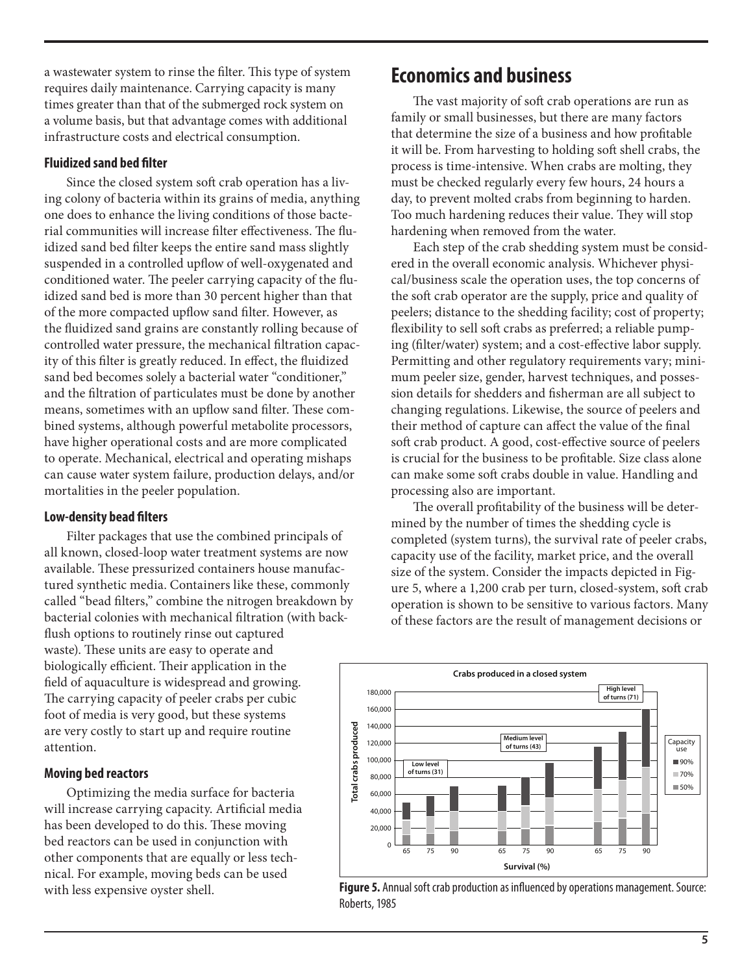a wastewater system to rinse the filter. This type of system requires daily maintenance. Carrying capacity is many times greater than that of the submerged rock system on a volume basis, but that advantage comes with additional infrastructure costs and electrical consumption.

#### **Fluidized sand bed filter**

Since the closed system soft crab operation has a living colony of bacteria within its grains of media, anything one does to enhance the living conditions of those bacterial communities will increase filter effectiveness. The fluidized sand bed filter keeps the entire sand mass slightly suspended in a controlled upflow of well-oxygenated and conditioned water. The peeler carrying capacity of the fluidized sand bed is more than 30 percent higher than that of the more compacted upflow sand filter. However, as the fluidized sand grains are constantly rolling because of controlled water pressure, the mechanical filtration capacity of this filter is greatly reduced. In effect, the fluidized sand bed becomes solely a bacterial water "conditioner," and the filtration of particulates must be done by another means, sometimes with an upflow sand filter. These combined systems, although powerful metabolite processors, have higher operational costs and are more complicated to operate. Mechanical, electrical and operating mishaps can cause water system failure, production delays, and/or mortalities in the peeler population.

#### **Low-density bead filters**

Filter packages that use the combined principals of all known, closed-loop water treatment systems are now available. These pressurized containers house manufactured synthetic media. Containers like these, commonly called "bead filters," combine the nitrogen breakdown by bacterial colonies with mechanical filtration (with backflush options to routinely rinse out captured waste). These units are easy to operate and biologically efficient. Their application in the field of aquaculture is widespread and growing. The carrying capacity of peeler crabs per cubic foot of media is very good, but these systems are very costly to start up and require routine attention.

#### **Moving bed reactors**

Optimizing the media surface for bacteria will increase carrying capacity. Artificial media has been developed to do this. These moving bed reactors can be used in conjunction with other components that are equally or less technical. For example, moving beds can be used with less expensive oyster shell.

# **Economics and business**

The vast majority of soft crab operations are run as family or small businesses, but there are many factors that determine the size of a business and how profitable it will be. From harvesting to holding soft shell crabs, the process is time-intensive. When crabs are molting, they must be checked regularly every few hours, 24 hours a day, to prevent molted crabs from beginning to harden. Too much hardening reduces their value. They will stop hardening when removed from the water.

Each step of the crab shedding system must be considered in the overall economic analysis. Whichever physical/business scale the operation uses, the top concerns of the soft crab operator are the supply, price and quality of peelers; distance to the shedding facility; cost of property; flexibility to sell soft crabs as preferred; a reliable pumping (filter/water) system; and a cost-effective labor supply. Permitting and other regulatory requirements vary; minimum peeler size, gender, harvest techniques, and possession details for shedders and fisherman are all subject to changing regulations. Likewise, the source of peelers and their method of capture can affect the value of the final soft crab product. A good, cost-effective source of peelers is crucial for the business to be profitable. Size class alone can make some soft crabs double in value. Handling and processing also are important.

The overall profitability of the business will be determined by the number of times the shedding cycle is completed (system turns), the survival rate of peeler crabs, capacity use of the facility, market price, and the overall size of the system. Consider the impacts depicted in Figure 5, where a 1,200 crab per turn, closed-system, soft crab operation is shown to be sensitive to various factors. Many of these factors are the result of management decisions or



**Figure 5.** Annual soft crab production as influenced by operations management. Source: Roberts, 1985